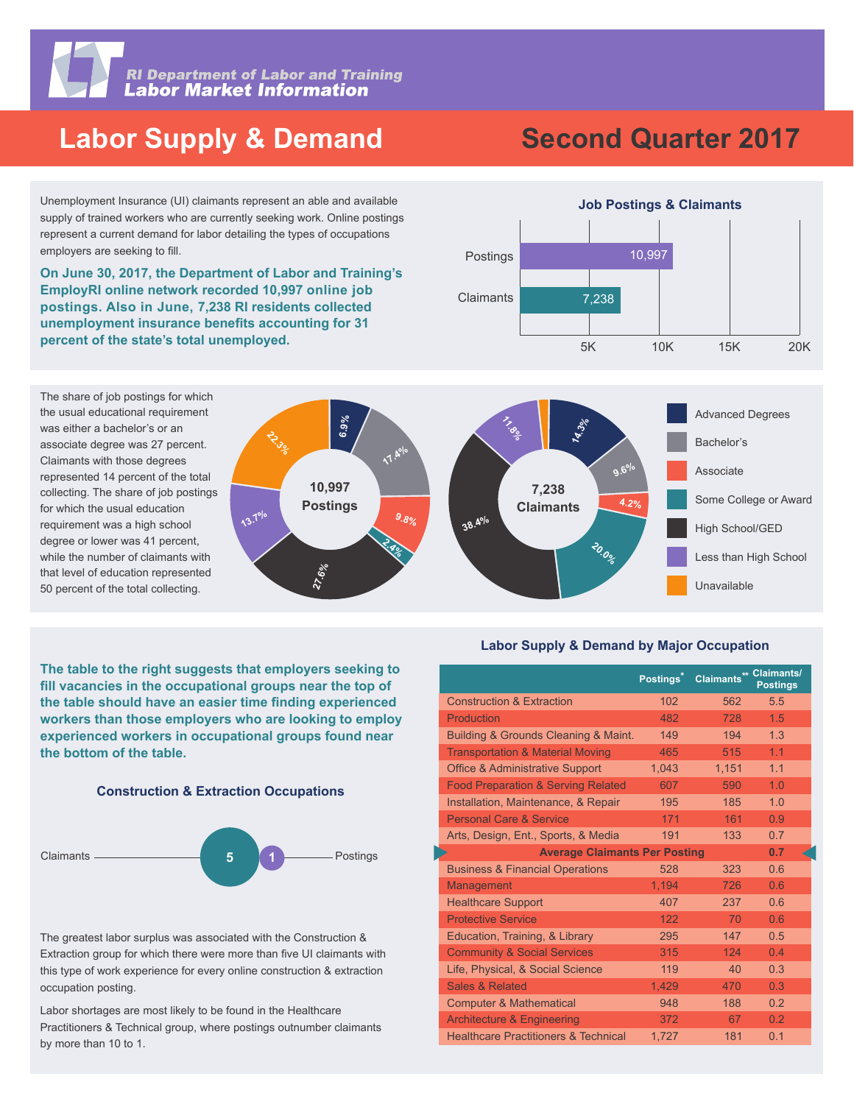

**RI Department of Labor and Training<br>Labor Market Information** 

## **Labor Supply & Demand**

Unemployment Insurance (UI) claimants represent an able and available supply of trained workers who are currently seeking work. Online postings represent a current demand for labor detailing the types of occupations employers are seeking to fill.

**EmployRI online network recorded 10,997 online job postings. Also in June, 7,238 RI residents collected unemployment insurance benefits accounting for 31 percent of the state's total unemployed.** 



**On June 30, 2017, the Department of Labor and Training's** 



**The table to the right suggests that employers seeking to**  fill vacancies in the occupational groups near the top of the table should have an easier time finding experienced **workers than those employers who are looking to employ experienced workers in occupational groups found near the bottom of the table.**





The greatest labor surplus was associated with the Construction & Extraction group for which there were more than five UI claimants with this type of work experience for every online construction & extraction occupation posting.

Labor shortages are most likely to be found in the Healthcare Practitioners & Technical group, where postings outnumber claimants by more than 10 to 1.

#### **Labor Supply & Demand by Major Occupation**

Unavailable

|                                                 | Postings* | <b>Claimants** Claimants/</b> | <b>Postings</b> |  |
|-------------------------------------------------|-----------|-------------------------------|-----------------|--|
| <b>Construction &amp; Extraction</b>            | 102       | 562                           | 5.5             |  |
| Production                                      | 482       | 728                           | 1.5             |  |
| Building & Grounds Cleaning & Maint.            | 149       | 194                           | 1.3             |  |
| <b>Transportation &amp; Material Moving</b>     | 465       | 515                           | 1.1             |  |
| <b>Office &amp; Administrative Support</b>      | 1,043     | 1,151                         | 1.1             |  |
| <b>Food Preparation &amp; Serving Related</b>   | 607       | 590                           | 1.0             |  |
| Installation, Maintenance, & Repair             | 195       | 185                           | 1.0             |  |
| <b>Personal Care &amp; Service</b>              | 171       | 161                           | 0.9             |  |
| Arts, Design, Ent., Sports, & Media             | 191       | 133                           | 0.7             |  |
| 0.7<br><b>Average Claimants Per Posting</b>     |           |                               |                 |  |
| <b>Business &amp; Financial Operations</b>      | 528       | 323                           | 0.6             |  |
| Management                                      | 1,194     | 726                           | 0.6             |  |
| <b>Healthcare Support</b>                       | 407       | 237                           | 0.6             |  |
| <b>Protective Service</b>                       | 122       | 70                            | 0.6             |  |
| Education, Training, & Library                  | 295       | 147                           | 0.5             |  |
| <b>Community &amp; Social Services</b>          | 315       | 124                           | 0.4             |  |
| Life, Physical, & Social Science                | 119       | 40                            | 0.3             |  |
| <b>Sales &amp; Related</b>                      | 1,429     | 470                           | 0.3             |  |
| <b>Computer &amp; Mathematical</b>              | 948       | 188                           | 0.2             |  |
| <b>Architecture &amp; Engineering</b>           | 372       | 67                            | 0.2             |  |
| <b>Healthcare Practitioners &amp; Technical</b> | 1,727     | 181                           | 0.1             |  |

# **Second Quarter 2017**